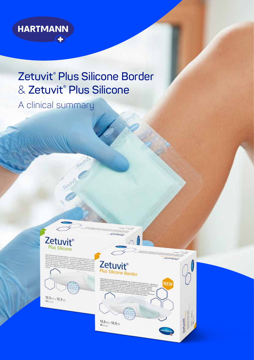

# Zetuvit<sup>®</sup> Plus Silicone Border & Zetuvit® Plus Silicone

inuiss

A clinical summary



**Fivure** 



 $12,5$  cm  $\times$   $12,5$  cm

### **Zetuvit**® us Silicone Border

inno-

 $12,5$ <sub>0m ×</sub>  $12,5$ <sub>0m</sub>

mmas NEW

Leturate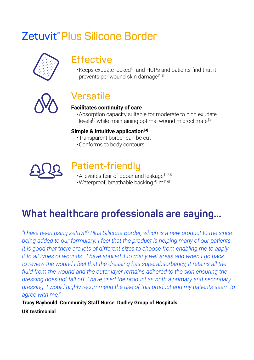# **Zetuvit®Plus Silicone Border**



### **Effective**

•Keeps exudate locked [1] and HCPs and patients find that it prevents periwound skin damage<sup>[1,2]</sup>



## **Versatile**

### **Facilitates continuity of care**

•Absorption capacity suitable for moderate to high exudate  $e^{[1]}$  while maintaining optimal wound microclimate<sup>[3]</sup>

#### Simple & intuitive application<sup>[4]</sup>

- •Transparent border can be cut
- •Conforms to body contours



# **Patient-friendly**

- Alleviates fear of odour and leakage<sup>[1,2,5]</sup>
- •Waterproof, breathable backing film [1,6]

# **What healthcare professionals are saying...**

*"I have been using Zetuvit® Plus Silicone Border, which is a new product to me since being added to our formulary. I feel that the product is helping many of our patients. It is good that there are lots of different sizes to choose from enabling me to apply it to all types of wounds. I have applied it to many wet areas and when I go back to review the wound I feel that the dressing has superabsorbancy, it retains all the fluid from the wound and the outer layer remains adhered to the skin ensuring the dressing does not fall off. I have used the product as both a primary and secondary dressing. I would highly recommend the use of this product and my patients seem to agree with me."* 

**Tracy Raybould. Community Staff Nurse. Dudley Group of Hospitals UK testimonial**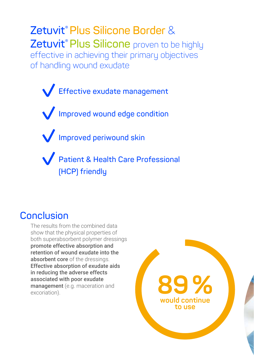**Zetuvit®Plus Silicone Border** & **Zetuvit<sup>®</sup> Plus Silicone** proven to be highly effective in achieving their primary objectives of handling wound exudate

**Effective exudate management Improved wound edge condition Improved periwound skin Patient & Health Care Professional (HCP) friendly**

### **Conclusion**

The results from the combined data show that the physical properties of both superabsorbent polymer dressings promote effective absorption and retention of wound exudate into the absorbent core of the dressings. Effective absorption of exudate aids in reducing the adverse effects associated with poor exudate management (e.g. maceration and associated with poor exudate<br>management (e.g. maceration and<br>excoriation).

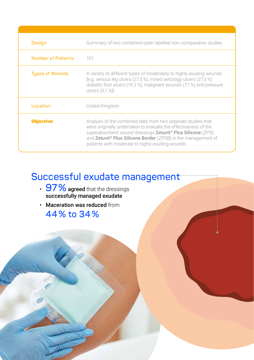| Design:                    | Summary of two combined open labelled non-comparative studies                                                                                                                                                                                                                                                                              |
|----------------------------|--------------------------------------------------------------------------------------------------------------------------------------------------------------------------------------------------------------------------------------------------------------------------------------------------------------------------------------------|
| <b>Number of Patients:</b> | 101                                                                                                                                                                                                                                                                                                                                        |
| <b>Types of Wounds:</b>    | A variety of different types of moderately to highly exuding wounds<br>[e.g. venous leg ulcers (27.3 %), mixed aetiology ulcers (27.3 %)<br>diabetic foot ulcers (19.2 %), malignant wounds (7.1 %) and pressure<br>ulcers $(5.1 %)$                                                                                                       |
| Location:                  | United Kingdom                                                                                                                                                                                                                                                                                                                             |
| <b>Objective:</b>          | Analysis of the combined data from two separate studies that<br>were originally undertaken to evaluate the effectiveness of the<br>superabsorbent wound dressings Zetuvit <sup>®</sup> Plus Silicone (ZPS)<br>and Zetuvit <sup>®</sup> Plus Silicone Border (ZPSB) in the management of<br>patients with moderate to highly exuding wounds |

# **Successful exudate management**

- 97  $\%$  agreed that the dressings successfully managed exudate
- Maceration was reduced from **44% to 34%**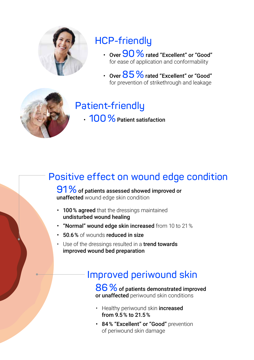

# **HCP-friendly**

- Over**90%**rated "Excellent" or "Good" for ease of application and conformability
- Over 85 % rated "Excellent" or "Good" for prevention of strikethrough and leakage



# **Patient-friendly**

• **100%**Patient satisfaction

# **Positive effect on wound edge condition**

### **91%** of patients assessed showed improved or unaffected wound edge skin condition

- 100% agreed that the dressings maintained undisturbed wound healing
- "Normal" wound edge skin increased from 10 to 21 %
- 50.6 % of wounds reduced in size
- Use of the dressings resulted in a **trend towards** improved wound bed preparation

## **Improved periwound skin**

86% of patients demonstrated improved or unaffected periwound skin conditions

- Healthy periwound skin increased from 9.5 % to 21.5 %
- 84% "Excellent" or "Good" prevention of periwound skin damage